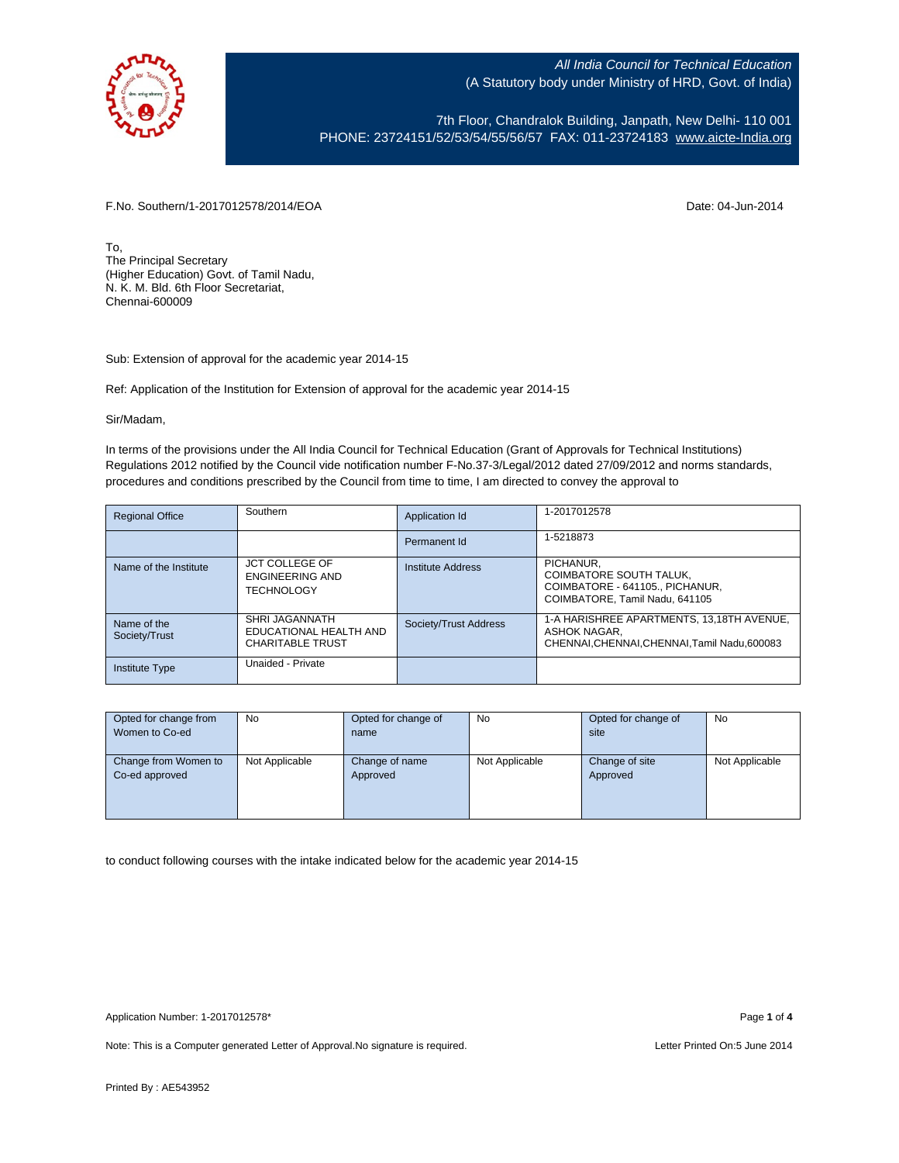

All India Council for Technical Education (A Statutory body under Ministry of HRD, Govt. of India)

7th Floor, Chandralok Building, Janpath, New Delhi- 110 001 PHONE: 23724151/52/53/54/55/56/57 FAX: 011-23724183 [www.aicte-India.org](http://www.aicte-india.org/)

F.No. Southern/1-2017012578/2014/EOA Date: 04-Jun-2014

To, The Principal Secretary (Higher Education) Govt. of Tamil Nadu, N. K. M. Bld. 6th Floor Secretariat, Chennai-600009

Sub: Extension of approval for the academic year 2014-15

Ref: Application of the Institution for Extension of approval for the academic year 2014-15

Sir/Madam,

In terms of the provisions under the All India Council for Technical Education (Grant of Approvals for Technical Institutions) Regulations 2012 notified by the Council vide notification number F-No.37-3/Legal/2012 dated 27/09/2012 and norms standards, procedures and conditions prescribed by the Council from time to time, I am directed to convey the approval to

| <b>Regional Office</b>       | Southern                                                            | Application Id        | 1-2017012578                                                                                            |
|------------------------------|---------------------------------------------------------------------|-----------------------|---------------------------------------------------------------------------------------------------------|
|                              |                                                                     | Permanent Id          | 1-5218873                                                                                               |
| Name of the Institute        | <b>JCT COLLEGE OF</b><br>ENGINEERING AND<br><b>TECHNOLOGY</b>       | Institute Address     | PICHANUR.<br>COIMBATORE SOUTH TALUK,<br>COIMBATORE - 641105 PICHANUR.<br>COIMBATORE, Tamil Nadu, 641105 |
| Name of the<br>Society/Trust | SHRI JAGANNATH<br>EDUCATIONAL HEALTH AND<br><b>CHARITABLE TRUST</b> | Society/Trust Address | 1-A HARISHREE APARTMENTS, 13,18TH AVENUE,<br>ASHOK NAGAR.<br>CHENNAI.CHENNAI.CHENNAI.Tamil Nadu.600083  |
| <b>Institute Type</b>        | Unaided - Private                                                   |                       |                                                                                                         |

| Opted for change from | <b>No</b>      | Opted for change of | No             | Opted for change of | <b>No</b>      |
|-----------------------|----------------|---------------------|----------------|---------------------|----------------|
| Women to Co-ed        |                | name                |                | site                |                |
|                       |                |                     |                |                     |                |
| Change from Women to  | Not Applicable | Change of name      | Not Applicable | Change of site      | Not Applicable |
| Co-ed approved        |                | Approved            |                | Approved            |                |
|                       |                |                     |                |                     |                |
|                       |                |                     |                |                     |                |
|                       |                |                     |                |                     |                |

to conduct following courses with the intake indicated below for the academic year 2014-15

Note: This is a Computer generated Letter of Approval. No signature is required. Letter Printed On:5 June 2014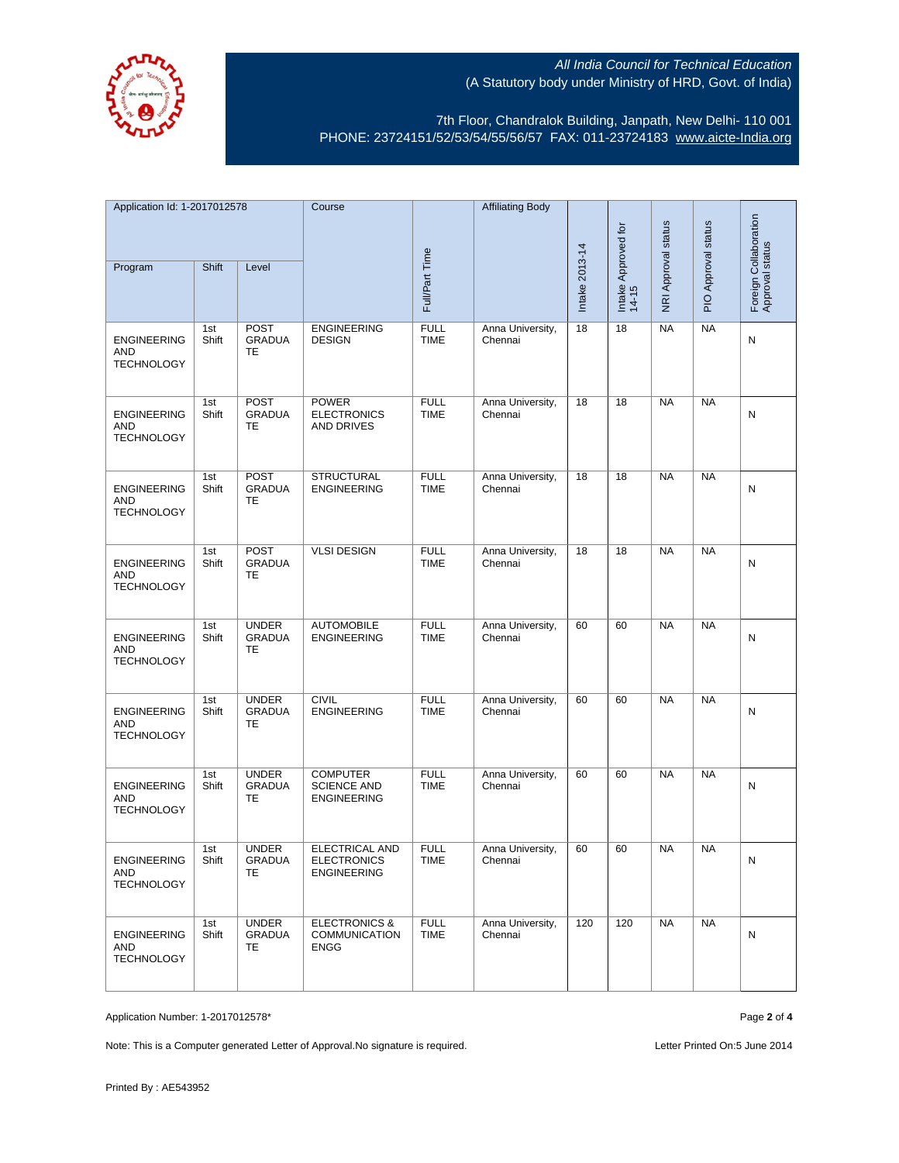

## All India Council for Technical Education (A Statutory body under Ministry of HRD, Govt. of India)

7th Floor, Chandralok Building, Janpath, New Delhi- 110 001 PHONE: 23724151/52/53/54/55/56/57 FAX: 011-23724183 [www.aicte-India.org](http://www.aicte-india.org/)

| Application Id: 1-2017012578                          |              | Course                                    |                                                                   | <b>Affiliating Body</b>    |                             |                |                              |                     |                                          |   |
|-------------------------------------------------------|--------------|-------------------------------------------|-------------------------------------------------------------------|----------------------------|-----------------------------|----------------|------------------------------|---------------------|------------------------------------------|---|
|                                                       |              |                                           |                                                                   |                            |                             |                | NRI Approval status          | PIO Approval status | Foreign Collaboration<br>Approval status |   |
| Program                                               | Shift        | Level                                     |                                                                   | Full/Part Time             |                             | Intake 2013-14 | Intake Approved for<br>14-15 |                     |                                          |   |
| <b>ENGINEERING</b><br>AND<br><b>TECHNOLOGY</b>        | 1st<br>Shift | <b>POST</b><br><b>GRADUA</b><br>TE        | <b>ENGINEERING</b><br><b>DESIGN</b>                               | <b>FULL</b><br><b>TIME</b> | Anna University,<br>Chennai | 18             | 18                           | <b>NA</b>           | <b>NA</b>                                | N |
| <b>ENGINEERING</b><br>AND<br><b>TECHNOLOGY</b>        | 1st<br>Shift | <b>POST</b><br><b>GRADUA</b><br>TE        | <b>POWER</b><br><b>ELECTRONICS</b><br><b>AND DRIVES</b>           | <b>FULL</b><br><b>TIME</b> | Anna University,<br>Chennai | 18             | 18                           | <b>NA</b>           | <b>NA</b>                                | N |
| <b>ENGINEERING</b><br><b>AND</b><br><b>TECHNOLOGY</b> | 1st<br>Shift | <b>POST</b><br><b>GRADUA</b><br><b>TE</b> | <b>STRUCTURAL</b><br><b>ENGINEERING</b>                           | <b>FULL</b><br><b>TIME</b> | Anna University,<br>Chennai | 18             | 18                           | <b>NA</b>           | <b>NA</b>                                | N |
| <b>ENGINEERING</b><br>AND<br><b>TECHNOLOGY</b>        | 1st<br>Shift | <b>POST</b><br><b>GRADUA</b><br>TE        | <b>VLSI DESIGN</b>                                                | <b>FULL</b><br><b>TIME</b> | Anna University,<br>Chennai | 18             | 18                           | <b>NA</b>           | <b>NA</b>                                | Ν |
| <b>ENGINEERING</b><br>AND<br><b>TECHNOLOGY</b>        | 1st<br>Shift | <b>UNDER</b><br><b>GRADUA</b><br>TE       | <b>AUTOMOBILE</b><br><b>ENGINEERING</b>                           | <b>FULL</b><br><b>TIME</b> | Anna University,<br>Chennai | 60             | 60                           | <b>NA</b>           | <b>NA</b>                                | N |
| <b>ENGINEERING</b><br>AND<br><b>TECHNOLOGY</b>        | 1st<br>Shift | <b>UNDER</b><br><b>GRADUA</b><br>TE       | <b>CIVIL</b><br><b>ENGINEERING</b>                                | <b>FULL</b><br><b>TIME</b> | Anna University,<br>Chennai | 60             | 60                           | <b>NA</b>           | <b>NA</b>                                | N |
| <b>ENGINEERING</b><br>AND<br><b>TECHNOLOGY</b>        | 1st<br>Shift | <b>UNDER</b><br><b>GRADUA</b><br>TE       | <b>COMPUTER</b><br><b>SCIENCE AND</b><br><b>ENGINEERING</b>       | <b>FULL</b><br><b>TIME</b> | Anna University,<br>Chennai | 60             | 60                           | <b>NA</b>           | <b>NA</b>                                | Ν |
| <b>ENGINEERING</b><br>AND<br><b>TECHNOLOGY</b>        | 1st<br>Shift | <b>UNDER</b><br><b>GRADUA</b><br>TE.      | <b>ELECTRICAL AND</b><br><b>ELECTRONICS</b><br><b>ENGINEERING</b> | <b>FULL</b><br>TIME        | Anna University,<br>Chennai | 60             | 60                           | <b>NA</b>           | <b>NA</b>                                | N |
| <b>ENGINEERING</b><br>AND<br><b>TECHNOLOGY</b>        | 1st<br>Shift | <b>UNDER</b><br><b>GRADUA</b><br>TE.      | <b>ELECTRONICS &amp;</b><br>COMMUNICATION<br>ENGG                 | <b>FULL</b><br><b>TIME</b> | Anna University,<br>Chennai | 120            | 120                          | <b>NA</b>           | <b>NA</b>                                | N |

Application Number: 1-2017012578\* Page **2** of **4**

Note: This is a Computer generated Letter of Approval. No signature is required. Letter Printed On:5 June 2014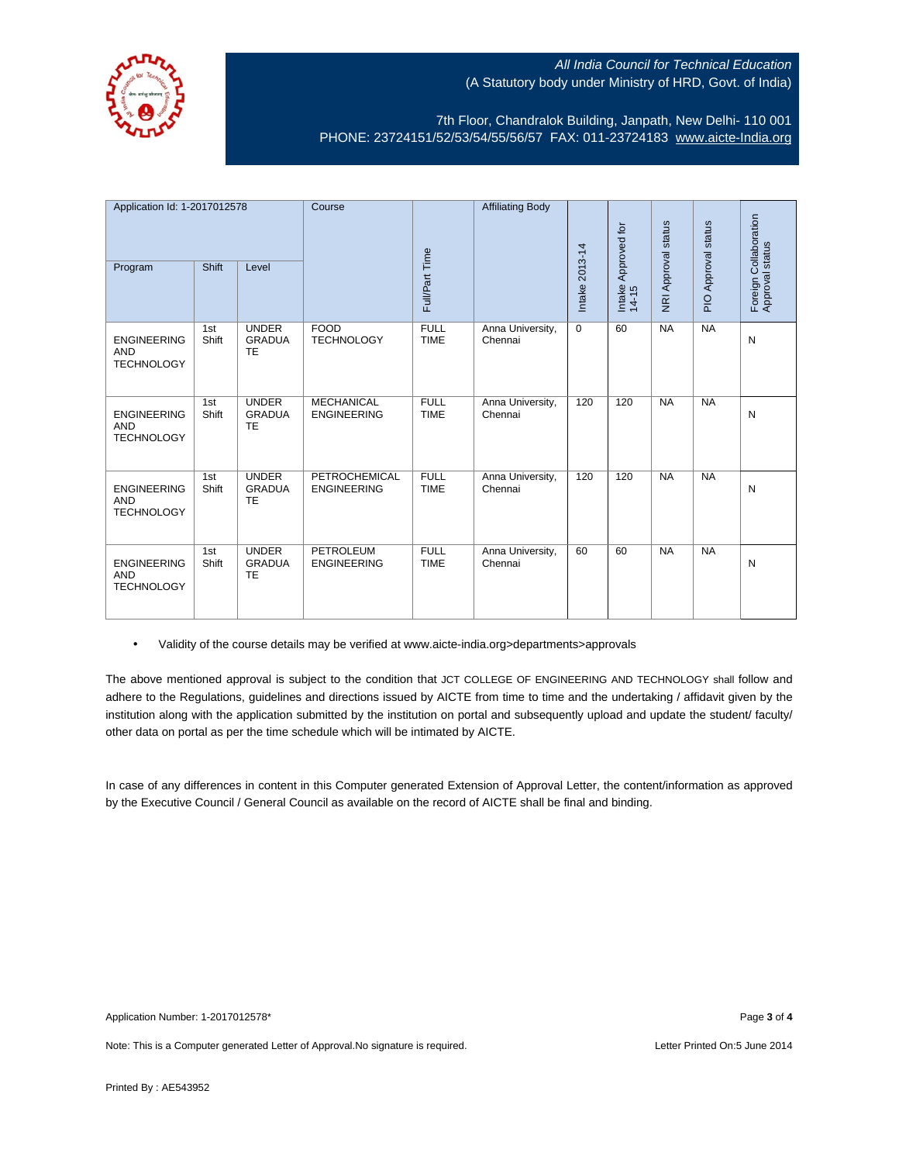

## All India Council for Technical Education (A Statutory body under Ministry of HRD, Govt. of India)

7th Floor, Chandralok Building, Janpath, New Delhi- 110 001 PHONE: 23724151/52/53/54/55/56/57 FAX: 011-23724183 [www.aicte-India.org](http://www.aicte-india.org/)

| Application Id: 1-2017012578                          |              | Course                                     |                                         | <b>Affiliating Body</b>    |                             | Approved for   |                           | PIO Approval status | Foreign Collaboration<br>Approval status |   |
|-------------------------------------------------------|--------------|--------------------------------------------|-----------------------------------------|----------------------------|-----------------------------|----------------|---------------------------|---------------------|------------------------------------------|---|
| Program                                               | Shift        | Level                                      |                                         | Full/Part Time             |                             | Intake 2013-14 | Intake $\overline{14-15}$ | NRI Approval status |                                          |   |
| <b>ENGINEERING</b><br><b>AND</b><br><b>TECHNOLOGY</b> | 1st<br>Shift | <b>UNDER</b><br><b>GRADUA</b><br><b>TE</b> | <b>FOOD</b><br><b>TECHNOLOGY</b>        | <b>FULL</b><br><b>TIME</b> | Anna University,<br>Chennai | $\Omega$       | 60                        | <b>NA</b>           | <b>NA</b>                                | N |
| <b>ENGINEERING</b><br><b>AND</b><br><b>TECHNOLOGY</b> | 1st<br>Shift | <b>UNDER</b><br><b>GRADUA</b><br><b>TE</b> | <b>MECHANICAL</b><br><b>ENGINEERING</b> | <b>FULL</b><br><b>TIME</b> | Anna University,<br>Chennai | 120            | 120                       | <b>NA</b>           | <b>NA</b>                                | N |
| <b>ENGINEERING</b><br><b>AND</b><br><b>TECHNOLOGY</b> | 1st<br>Shift | <b>UNDER</b><br><b>GRADUA</b><br><b>TE</b> | PETROCHEMICAL<br><b>ENGINEERING</b>     | <b>FULL</b><br><b>TIME</b> | Anna University,<br>Chennai | 120            | 120                       | <b>NA</b>           | <b>NA</b>                                | N |
| <b>ENGINEERING</b><br><b>AND</b><br><b>TECHNOLOGY</b> | 1st<br>Shift | <b>UNDER</b><br><b>GRADUA</b><br><b>TE</b> | PETROLEUM<br><b>ENGINEERING</b>         | <b>FULL</b><br><b>TIME</b> | Anna University,<br>Chennai | 60             | 60                        | <b>NA</b>           | <b>NA</b>                                | N |

• Validity of the course details may be verified at www.aicte-india.org>departments>approvals

The above mentioned approval is subject to the condition that JCT COLLEGE OF ENGINEERING AND TECHNOLOGY shall follow and adhere to the Regulations, guidelines and directions issued by AICTE from time to time and the undertaking / affidavit given by the institution along with the application submitted by the institution on portal and subsequently upload and update the student/ faculty/ other data on portal as per the time schedule which will be intimated by AICTE.

In case of any differences in content in this Computer generated Extension of Approval Letter, the content/information as approved by the Executive Council / General Council as available on the record of AICTE shall be final and binding.

Note: This is a Computer generated Letter of Approval. No signature is required. Letter Printed On:5 June 2014